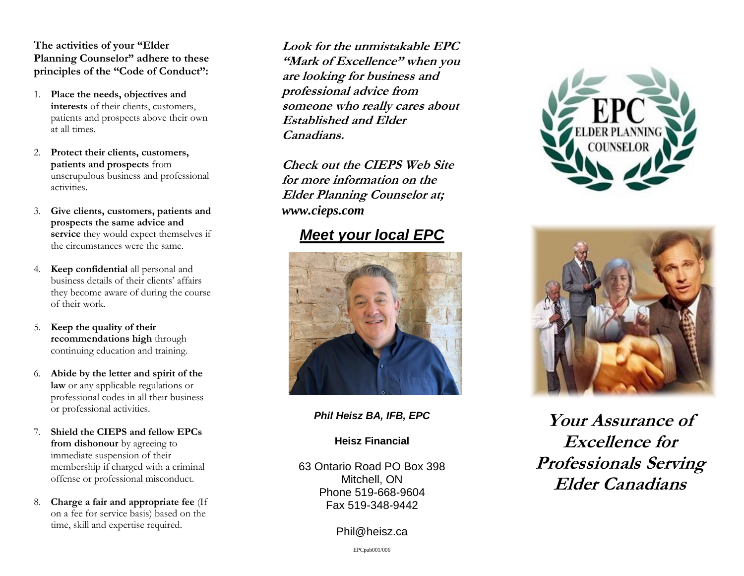**The activities of your "Elder Planning Counselor" adhere to these principles of the "Code of Conduct":**

- 1. **Place the needs, objectives and interests** of their clients, customers, patients and prospects above their own at all times.
- 2. **Protect their clients, customers, patients and prospects** from unscrupulous business and professional activities.
- 3. **Give clients, customers, patients and prospects the same advice and service** they would expect themselves if the circumstances were the same.
- 4. **Keep confidential** all personal and business details of their clients' affairs they become aware of during the course of their work.
- 5. **Keep the quality of their recommendations high** through continuing education and training.
- 6. **Abide by the letter and spirit of the law** or any applicable regulations or professional codes in all their business or professional activities.
- 7. **Shield the CIEPS and fellow EPCs from dishonour** by agreeing to immediate suspension of their membership if charged with a criminal offense or professional misconduct.
- 8. **Charge a fair and appropriate fee** (If on a fee for service basis) based on the time, skill and expertise required.

**Look for the unmistakable EPC "Mark of Excellence" when you are looking for business and professional advice from someone who really cares about Established and Elder Canadians.**

**Check out the CIEPS Web Site for more information on the Elder Planning Counselor at;** *www.cieps.com*

## *Meet your local EPC*



*Phil Heisz BA, IFB, EPC*

## **Heisz Financial**

63 Ontario Road PO Box 398 Mitchell, ON Phone 519-668-9604 Fax 519-348-9442

Phil@heisz.ca





**Your Assurance of Excellence for Professionals Serving Elder Canadians**